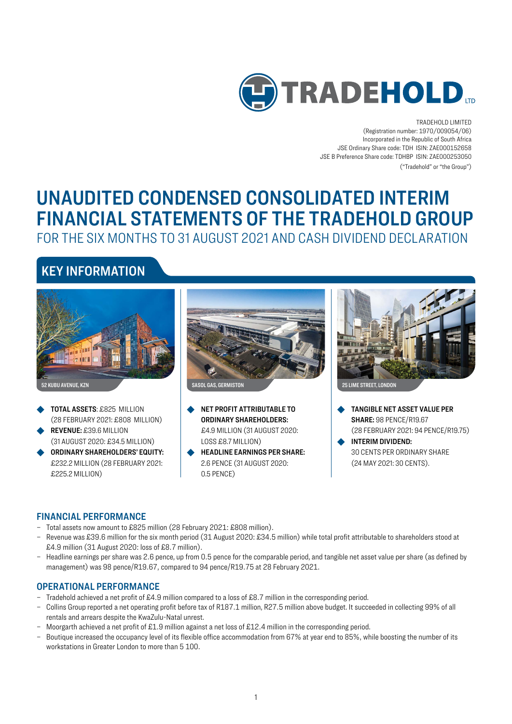

TRADEHOLD LIMITED (Registration number: 1970/009054/06) Incorporated in the Republic of South Africa JSE Ordinary Share code: TDH ISIN: ZAE000152658 JSE B Preference Share code: TDHBP ISIN: ZAE000253050 ("Tradehold" or "the Group")

# **UNAUDITED CONDENSED CONSOLIDATED INTERIM FINANCIAL STATEMENTS OF THE TRADEHOLD GROUP**

FOR THE SIX MONTHS TO 31 AUGUST 2021 AND CASH DIVIDEND DECLARATION

## **KEY INFORMATION**



- **TOTAL ASSETS: £825 MILLION** (28 FEBRUARY 2021: £808 MILLION)
- R **REVENUE:** £39.6 MILLION (31 AUGUST 2020: £34.5 MILLION)
- R **ORDINARY SHAREHOLDERS' EQUITY:** £232.2 MILLION (28 FEBRUARY 2021: £225.2 MILLION)



- R **NET PROFIT ATTRIBUTABLE TO ORDINARY SHAREHOLDERS:** £4.9 MILLION (31 AUGUST 2020: LOSS £8.7 MILLION)
- R **HEADLINE EARNINGS PER SHARE:** 2.6 PENCE (31 AUGUST 2020: 0.5 PENCE)



- R **TANGIBLE NET ASSET VALUE PER SHARE:** 98 PENCE/R19.67 (28 FEBRUARY 2021: 94 PENCE/R19.75)
	- R **INTERIM DIVIDEND:** 30 CENTS PER ORDINARY SHARE (24 MAY 2021: 30 CENTS).

## **FINANCIAL PERFORMANCE**

- Total assets now amount to £825 million (28 February 2021: £808 million).
- Revenue was £39.6 million for the six month period (31 August 2020: £34.5 million) while total profit attributable to shareholders stood at £4.9 million (31 August 2020: loss of £8.7 million).
- Headline earnings per share was 2.6 pence, up from 0.5 pence for the comparable period, and tangible net asset value per share (as defined by management) was 98 pence/R19.67, compared to 94 pence/R19.75 at 28 February 2021.

### **OPERATIONAL PERFORMANCE**

- Tradehold achieved a net profit of £4.9 million compared to a loss of £8.7 million in the corresponding period.
- Collins Group reported a net operating profit before tax of R187.1 million, R27.5 million above budget. It succeeded in collecting 99% of all rentals and arrears despite the KwaZulu-Natal unrest.
- Moorgarth achieved a net profit of £1.9 million against a net loss of £12.4 million in the corresponding period.
- Boutique increased the occupancy level of its flexible office accommodation from 67% at year end to 85%, while boosting the number of its workstations in Greater London to more than 5 100.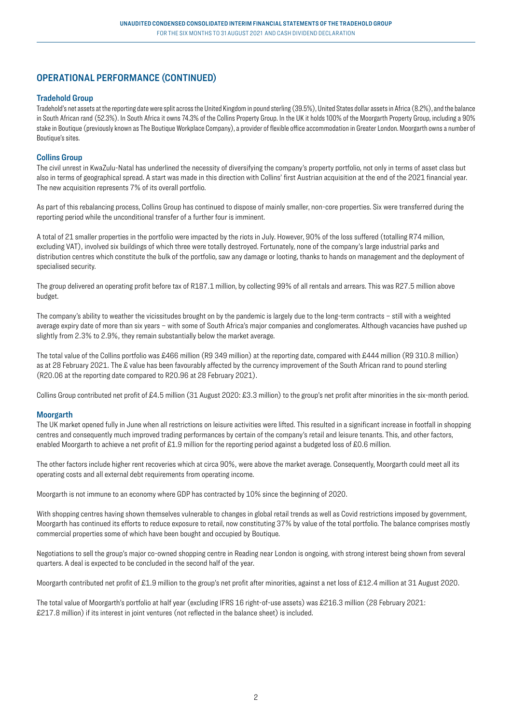## **OPERATIONAL PERFORMANCE (CONTINUED)**

### **Tradehold Group**

Tradehold's net assets at the reporting date were split across the United Kingdom in pound sterling (39.5%), United States dollar assets in Africa (8.2%), and the balance in South African rand (52.3%). In South Africa it owns 74.3% of the Collins Property Group. In the UK it holds 100% of the Moorgarth Property Group, including a 90% stake in Boutique (previously known as The Boutique Workplace Company), a provider of flexible office accommodation in Greater London. Moorgarth owns a number of Boutique's sites.

#### **Collins Group**

The civil unrest in KwaZulu-Natal has underlined the necessity of diversifying the company's property portfolio, not only in terms of asset class but also in terms of geographical spread. A start was made in this direction with Collins' first Austrian acquisition at the end of the 2021 financial year. The new acquisition represents 7% of its overall portfolio.

As part of this rebalancing process, Collins Group has continued to dispose of mainly smaller, non-core properties. Six were transferred during the reporting period while the unconditional transfer of a further four is imminent.

A total of 21 smaller properties in the portfolio were impacted by the riots in July. However, 90% of the loss suffered (totalling R74 million, excluding VAT), involved six buildings of which three were totally destroyed. Fortunately, none of the company's large industrial parks and distribution centres which constitute the bulk of the portfolio, saw any damage or looting, thanks to hands on management and the deployment of specialised security.

The group delivered an operating profit before tax of R187.1 million, by collecting 99% of all rentals and arrears. This was R27.5 million above budget.

The company's ability to weather the vicissitudes brought on by the pandemic is largely due to the long-term contracts – still with a weighted average expiry date of more than six years – with some of South Africa's major companies and conglomerates. Although vacancies have pushed up slightly from 2.3% to 2.9%, they remain substantially below the market average.

The total value of the Collins portfolio was £466 million (R9 349 million) at the reporting date, compared with £444 million (R9 310.8 million) as at 28 February 2021. The £ value has been favourably affected by the currency improvement of the South African rand to pound sterling (R20.06 at the reporting date compared to R20.96 at 28 February 2021).

Collins Group contributed net profit of £4.5 million (31 August 2020: £3.3 million) to the group's net profit after minorities in the six-month period.

#### **Moorgarth**

The UK market opened fully in June when all restrictions on leisure activities were lifted. This resulted in a significant increase in footfall in shopping centres and consequently much improved trading performances by certain of the company's retail and leisure tenants. This, and other factors, enabled Moorgarth to achieve a net profit of £1.9 million for the reporting period against a budgeted loss of £0.6 million.

The other factors include higher rent recoveries which at circa 90%, were above the market average. Consequently, Moorgarth could meet all its operating costs and all external debt requirements from operating income.

Moorgarth is not immune to an economy where GDP has contracted by 10% since the beginning of 2020.

With shopping centres having shown themselves vulnerable to changes in global retail trends as well as Covid restrictions imposed by government, Moorgarth has continued its efforts to reduce exposure to retail, now constituting 37% by value of the total portfolio. The balance comprises mostly commercial properties some of which have been bought and occupied by Boutique.

Negotiations to sell the group's major co-owned shopping centre in Reading near London is ongoing, with strong interest being shown from several quarters. A deal is expected to be concluded in the second half of the year.

Moorgarth contributed net profit of £1.9 million to the group's net profit after minorities, against a net loss of £12.4 million at 31 August 2020.

The total value of Moorgarth's portfolio at half year (excluding IFRS 16 right-of-use assets) was £216.3 million (28 February 2021: £217.8 million) if its interest in joint ventures (not reflected in the balance sheet) is included.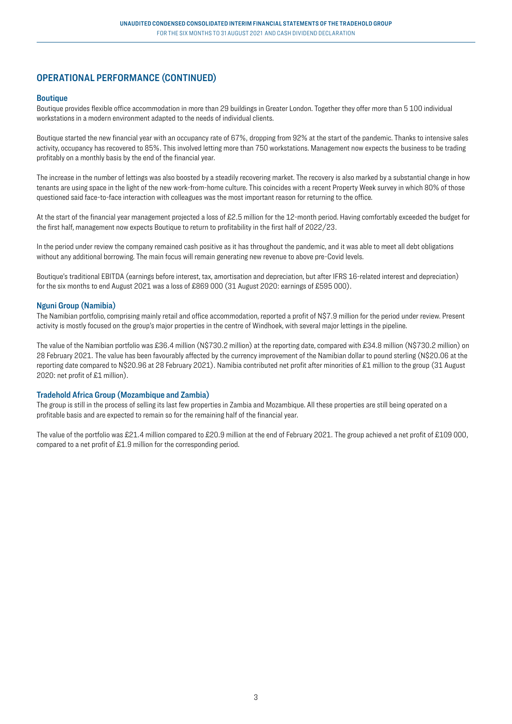## **OPERATIONAL PERFORMANCE (CONTINUED)**

#### **Boutique**

Boutique provides flexible office accommodation in more than 29 buildings in Greater London. Together they offer more than 5 100 individual workstations in a modern environment adapted to the needs of individual clients.

Boutique started the new financial year with an occupancy rate of 67%, dropping from 92% at the start of the pandemic. Thanks to intensive sales activity, occupancy has recovered to 85%. This involved letting more than 750 workstations. Management now expects the business to be trading profitably on a monthly basis by the end of the financial year.

The increase in the number of lettings was also boosted by a steadily recovering market. The recovery is also marked by a substantial change in how tenants are using space in the light of the new work-from-home culture. This coincides with a recent Property Week survey in which 80% of those questioned said face-to-face interaction with colleagues was the most important reason for returning to the office.

At the start of the financial year management projected a loss of £2.5 million for the 12-month period. Having comfortably exceeded the budget for the first half, management now expects Boutique to return to profitability in the first half of 2022/23.

In the period under review the company remained cash positive as it has throughout the pandemic, and it was able to meet all debt obligations without any additional borrowing. The main focus will remain generating new revenue to above pre-Covid levels.

Boutique's traditional EBITDA (earnings before interest, tax, amortisation and depreciation, but after IFRS 16-related interest and depreciation) for the six months to end August 2021 was a loss of £869 000 (31 August 2020: earnings of £595 000).

#### **Nguni Group (Namibia)**

The Namibian portfolio, comprising mainly retail and office accommodation, reported a profit of N\$7.9 million for the period under review. Present activity is mostly focused on the group's major properties in the centre of Windhoek, with several major lettings in the pipeline.

The value of the Namibian portfolio was £36.4 million (N\$730.2 million) at the reporting date, compared with £34.8 million (N\$730.2 million) on 28 February 2021. The value has been favourably affected by the currency improvement of the Namibian dollar to pound sterling (N\$20.06 at the reporting date compared to N\$20.96 at 28 February 2021). Namibia contributed net profit after minorities of £1 million to the group (31 August 2020: net profit of £1 million).

#### **Tradehold Africa Group (Mozambique and Zambia)**

The group is still in the process of selling its last few properties in Zambia and Mozambique. All these properties are still being operated on a profitable basis and are expected to remain so for the remaining half of the financial year.

The value of the portfolio was £21.4 million compared to £20.9 million at the end of February 2021. The group achieved a net profit of £109 000, compared to a net profit of £1.9 million for the corresponding period.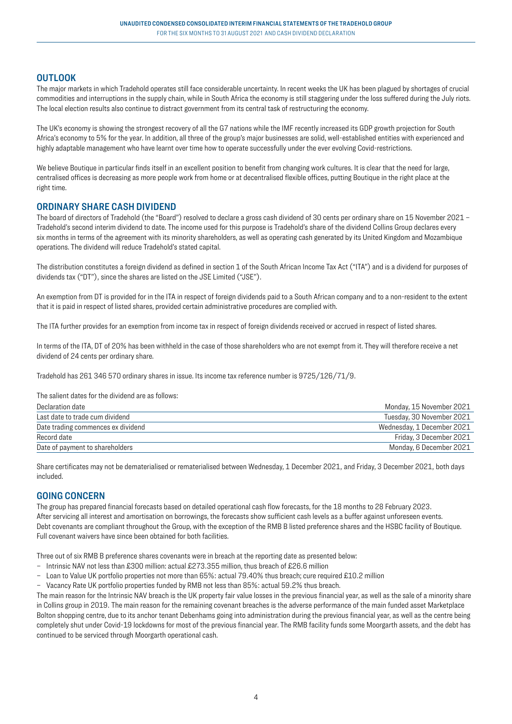### **OUTLOOK**

The major markets in which Tradehold operates still face considerable uncertainty. In recent weeks the UK has been plagued by shortages of crucial commodities and interruptions in the supply chain, while in South Africa the economy is still staggering under the loss suffered during the July riots. The local election results also continue to distract government from its central task of restructuring the economy.

The UK's economy is showing the strongest recovery of all the G7 nations while the IMF recently increased its GDP growth projection for South Africa's economy to 5% for the year. In addition, all three of the group's major businesses are solid, well-established entities with experienced and highly adaptable management who have learnt over time how to operate successfully under the ever evolving Covid-restrictions.

We believe Boutique in particular finds itself in an excellent position to benefit from changing work cultures. It is clear that the need for large, centralised offices is decreasing as more people work from home or at decentralised flexible offices, putting Boutique in the right place at the right time.

### **ORDINARY SHARE CASH DIVIDEND**

The board of directors of Tradehold (the "Board") resolved to declare a gross cash dividend of 30 cents per ordinary share on 15 November 2021 – Tradehold's second interim dividend to date. The income used for this purpose is Tradehold's share of the dividend Collins Group declares every six months in terms of the agreement with its minority shareholders, as well as operating cash generated by its United Kingdom and Mozambique operations. The dividend will reduce Tradehold's stated capital.

The distribution constitutes a foreign dividend as defined in section 1 of the South African Income Tax Act ("ITA") and is a dividend for purposes of dividends tax ("DT"), since the shares are listed on the JSE Limited ("JSE").

An exemption from DT is provided for in the ITA in respect of foreign dividends paid to a South African company and to a non-resident to the extent that it is paid in respect of listed shares, provided certain administrative procedures are complied with.

The ITA further provides for an exemption from income tax in respect of foreign dividends received or accrued in respect of listed shares.

In terms of the ITA, DT of 20% has been withheld in the case of those shareholders who are not exempt from it. They will therefore receive a net dividend of 24 cents per ordinary share.

Tradehold has 261 346 570 ordinary shares in issue. Its income tax reference number is 9725/126/71/9.

The salient dates for the dividend are as follows:

| Declaration date                   | Monday, 15 November 2021   |
|------------------------------------|----------------------------|
| Last date to trade cum dividend    | Tuesday, 30 November 2021  |
| Date trading commences ex dividend | Wednesday, 1 December 2021 |
| Record date                        | Friday, 3 December 2021    |
| Date of payment to shareholders    | Monday, 6 December 2021    |

Share certificates may not be dematerialised or rematerialised between Wednesday, 1 December 2021, and Friday, 3 December 2021, both days included.

### **GOING CONCERN**

The group has prepared financial forecasts based on detailed operational cash flow forecasts, for the 18 months to 28 February 2023. After servicing all interest and amortisation on borrowings, the forecasts show sufficient cash levels as a buffer against unforeseen events. Debt covenants are compliant throughout the Group, with the exception of the RMB B listed preference shares and the HSBC facility of Boutique. Full covenant waivers have since been obtained for both facilities.

Three out of six RMB B preference shares covenants were in breach at the reporting date as presented below:

- Intrinsic NAV not less than £300 million: actual £273.355 million, thus breach of £26.6 million
- Loan to Value UK portfolio properties not more than 65%: actual 79.40% thus breach; cure required £10.2 million
- Vacancy Rate UK portfolio properties funded by RMB not less than 85%: actual 59.2% thus breach.

The main reason for the Intrinsic NAV breach is the UK property fair value losses in the previous financial year, as well as the sale of a minority share in Collins group in 2019. The main reason for the remaining covenant breaches is the adverse performance of the main funded asset Marketplace Bolton shopping centre, due to its anchor tenant Debenhams going into administration during the previous financial year, as well as the centre being completely shut under Covid-19 lockdowns for most of the previous financial year. The RMB facility funds some Moorgarth assets, and the debt has continued to be serviced through Moorgarth operational cash.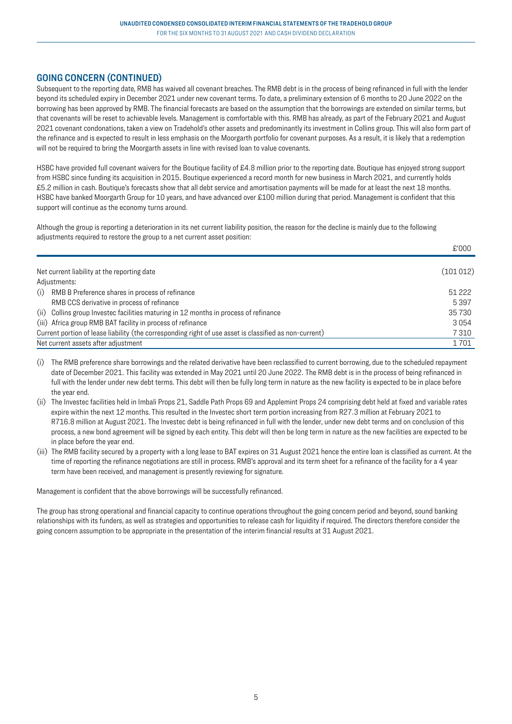### **GOING CONCERN (CONTINUED)**

Subsequent to the reporting date, RMB has waived all covenant breaches. The RMB debt is in the process of being refinanced in full with the lender beyond its scheduled expiry in December 2021 under new covenant terms. To date, a preliminary extension of 6 months to 20 June 2022 on the borrowing has been approved by RMB. The financial forecasts are based on the assumption that the borrowings are extended on similar terms, but that covenants will be reset to achievable levels. Management is comfortable with this. RMB has already, as part of the February 2021 and August 2021 covenant condonations, taken a view on Tradehold's other assets and predominantly its investment in Collins group. This will also form part of the refinance and is expected to result in less emphasis on the Moorgarth portfolio for covenant purposes. As a result, it is likely that a redemption will not be required to bring the Moorgarth assets in line with revised loan to value covenants.

HSBC have provided full covenant waivers for the Boutique facility of £4.8 million prior to the reporting date. Boutique has enjoyed strong support from HSBC since funding its acquisition in 2015. Boutique experienced a record month for new business in March 2021, and currently holds £5.2 million in cash. Boutique's forecasts show that all debt service and amortisation payments will be made for at least the next 18 months. HSBC have banked Moorgarth Group for 10 years, and have advanced over £100 million during that period. Management is confident that this support will continue as the economy turns around.

Although the group is reporting a deterioration in its net current liability position, the reason for the decline is mainly due to the following adjustments required to restore the group to a net current asset position:

|                                                                                                        | £'000    |
|--------------------------------------------------------------------------------------------------------|----------|
| Net current liability at the reporting date                                                            | (101012) |
| Adjustments:                                                                                           |          |
| (i)<br>RMB B Preference shares in process of refinance                                                 | 51 2 2 2 |
| RMB CCS derivative in process of refinance                                                             | 5397     |
| (ii) Collins group Investec facilities maturing in 12 months in process of refinance                   | 35730    |
| (iii) Africa group RMB BAT facility in process of refinance                                            | 3054     |
| Current portion of lease liability (the corresponding right of use asset is classified as non-current) | 7310     |
| Net current assets after adjustment                                                                    | 1701     |

- (i) The RMB preference share borrowings and the related derivative have been reclassified to current borrowing, due to the scheduled repayment date of December 2021. This facility was extended in May 2021 until 20 June 2022. The RMB debt is in the process of being refinanced in full with the lender under new debt terms. This debt will then be fully long term in nature as the new facility is expected to be in place before the year end.
- (ii) The Investec facilities held in Imbali Props 21, Saddle Path Props 69 and Applemint Props 24 comprising debt held at fixed and variable rates expire within the next 12 months. This resulted in the Investec short term portion increasing from R27.3 million at February 2021 to R716.8 million at August 2021. The Investec debt is being refinanced in full with the lender, under new debt terms and on conclusion of this process, a new bond agreement will be signed by each entity. This debt will then be long term in nature as the new facilities are expected to be in place before the year end.
- (iii) The RMB facility secured by a property with a long lease to BAT expires on 31 August 2021 hence the entire loan is classified as current. At the time of reporting the refinance negotiations are still in process. RMB's approval and its term sheet for a refinance of the facility for a 4 year term have been received, and management is presently reviewing for signature.

Management is confident that the above borrowings will be successfully refinanced.

The group has strong operational and financial capacity to continue operations throughout the going concern period and beyond, sound banking relationships with its funders, as well as strategies and opportunities to release cash for liquidity if required. The directors therefore consider the going concern assumption to be appropriate in the presentation of the interim financial results at 31 August 2021.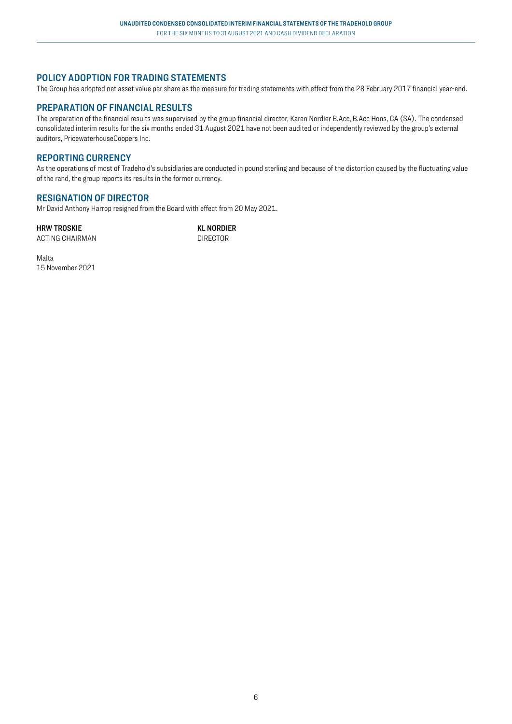### **POLICY ADOPTION FOR TRADING STATEMENTS**

The Group has adopted net asset value per share as the measure for trading statements with effect from the 28 February 2017 financial year-end.

### **PREPARATION OF FINANCIAL RESULTS**

The preparation of the financial results was supervised by the group financial director, Karen Nordier B.Acc, B.Acc Hons, CA (SA). The condensed consolidated interim results for the six months ended 31 August 2021 have not been audited or independently reviewed by the group's external auditors, PricewaterhouseCoopers Inc.

### **REPORTING CURRENCY**

As the operations of most of Tradehold's subsidiaries are conducted in pound sterling and because of the distortion caused by the fluctuating value of the rand, the group reports its results in the former currency.

### **RESIGNATION OF DIRECTOR**

Mr David Anthony Harrop resigned from the Board with effect from 20 May 2021.

**HRW TROSKIE KL NORDIER** ACTING CHAIRMAN

Malta 15 November 2021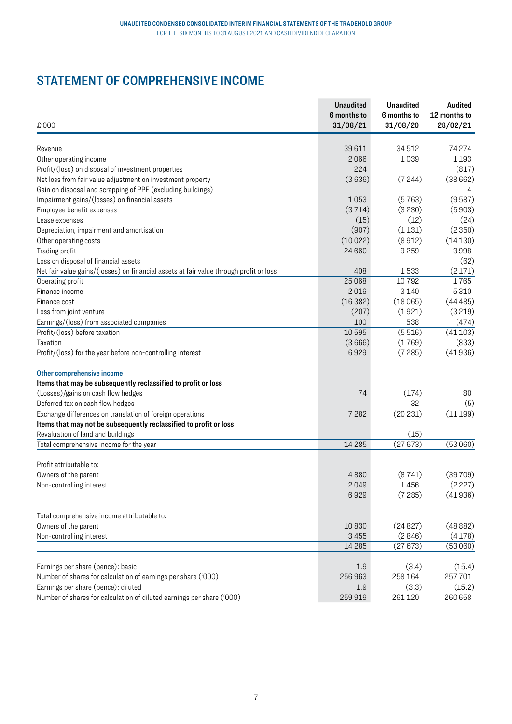## **STATEMENT OF COMPREHENSIVE INCOME**

| 39611<br>34512<br>74 274<br>Revenue<br>2066<br>1 1 9 3<br>Other operating income<br>1039<br>Profit/(loss) on disposal of investment properties<br>224<br>(817)<br>(3636)<br>Net loss from fair value adjustment on investment property<br>(7244)<br>(38662)<br>Gain on disposal and scrapping of PPE (excluding buildings)<br>4<br>(9587)<br>Impairment gains/(losses) on financial assets<br>1053<br>(5763)<br>Employee benefit expenses<br>(3714)<br>(3230)<br>(5903)<br>(15)<br>(12)<br>(24)<br>Lease expenses<br>(907)<br>(1131)<br>(2350)<br>Depreciation, impairment and amortisation<br>(10022)<br>(8912)<br>(14130)<br>Other operating costs<br>9259<br>Trading profit<br>24 6 60<br>3998<br>(62)<br>408<br>1533<br>(2171)<br>10792<br>25 0 68<br>1765<br>2016<br>3 1 4 0<br>5 3 1 0<br>(16382)<br>(18065)<br>(44485)<br>(207)<br>(1921)<br>(3219)<br>Earnings/(loss) from associated companies<br>100<br>538<br>(474)<br>10595<br>(5516)<br>Profit/(loss) before taxation<br>(3666)<br>(1769)<br>(833)<br>(7285)<br>(41936)<br>6929<br>Items that may be subsequently reclassified to profit or loss<br>(Losses)/gains on cash flow hedges<br>(174)<br>74<br>80<br>(5)<br>Deferred tax on cash flow hedges<br>32<br>(20231)<br>Exchange differences on translation of foreign operations<br>(11199)<br>7282<br>Items that may not be subsequently reclassified to profit or loss<br>Revaluation of land and buildings<br>(15)<br>(27673)<br>Total comprehensive income for the year<br>14 2 8 5<br>(53060)<br>Profit attributable to:<br>(39709)<br>Owners of the parent<br>4880<br>(8741)<br>2049<br>(2227)<br>Non-controlling interest<br>1456<br>6929<br>(7285)<br>(41936)<br>Total comprehensive income attributable to:<br>Owners of the parent<br>10830<br>(24827)<br>(48882)<br>(2846)<br>Non-controlling interest<br>3455<br>(4178)<br>(27673)<br>14 2 8 5<br>(53060)<br>(3.4)<br>Earnings per share (pence): basic<br>$1.9$<br>(15.4)<br>256963<br>258 164<br>257701<br>Number of shares for calculation of earnings per share ('000)<br>Earnings per share (pence): diluted<br>(3.3)<br>1.9<br>(15.2) | £'000                                                                                  | <b>Unaudited</b><br>6 months to<br>31/08/21 | <b>Unaudited</b><br>6 months to<br>31/08/20 | <b>Audited</b><br>12 months to<br>28/02/21 |
|--------------------------------------------------------------------------------------------------------------------------------------------------------------------------------------------------------------------------------------------------------------------------------------------------------------------------------------------------------------------------------------------------------------------------------------------------------------------------------------------------------------------------------------------------------------------------------------------------------------------------------------------------------------------------------------------------------------------------------------------------------------------------------------------------------------------------------------------------------------------------------------------------------------------------------------------------------------------------------------------------------------------------------------------------------------------------------------------------------------------------------------------------------------------------------------------------------------------------------------------------------------------------------------------------------------------------------------------------------------------------------------------------------------------------------------------------------------------------------------------------------------------------------------------------------------------------------------------------------------------------------------------------------------------------------------------------------------------------------------------------------------------------------------------------------------------------------------------------------------------------------------------------------------------------------------------------------------------------------------------------------------------------------------------------------------------------------------------------------------------------|----------------------------------------------------------------------------------------|---------------------------------------------|---------------------------------------------|--------------------------------------------|
|                                                                                                                                                                                                                                                                                                                                                                                                                                                                                                                                                                                                                                                                                                                                                                                                                                                                                                                                                                                                                                                                                                                                                                                                                                                                                                                                                                                                                                                                                                                                                                                                                                                                                                                                                                                                                                                                                                                                                                                                                                                                                                                          |                                                                                        |                                             |                                             |                                            |
| (41103)                                                                                                                                                                                                                                                                                                                                                                                                                                                                                                                                                                                                                                                                                                                                                                                                                                                                                                                                                                                                                                                                                                                                                                                                                                                                                                                                                                                                                                                                                                                                                                                                                                                                                                                                                                                                                                                                                                                                                                                                                                                                                                                  |                                                                                        |                                             |                                             |                                            |
|                                                                                                                                                                                                                                                                                                                                                                                                                                                                                                                                                                                                                                                                                                                                                                                                                                                                                                                                                                                                                                                                                                                                                                                                                                                                                                                                                                                                                                                                                                                                                                                                                                                                                                                                                                                                                                                                                                                                                                                                                                                                                                                          |                                                                                        |                                             |                                             |                                            |
|                                                                                                                                                                                                                                                                                                                                                                                                                                                                                                                                                                                                                                                                                                                                                                                                                                                                                                                                                                                                                                                                                                                                                                                                                                                                                                                                                                                                                                                                                                                                                                                                                                                                                                                                                                                                                                                                                                                                                                                                                                                                                                                          |                                                                                        |                                             |                                             |                                            |
|                                                                                                                                                                                                                                                                                                                                                                                                                                                                                                                                                                                                                                                                                                                                                                                                                                                                                                                                                                                                                                                                                                                                                                                                                                                                                                                                                                                                                                                                                                                                                                                                                                                                                                                                                                                                                                                                                                                                                                                                                                                                                                                          |                                                                                        |                                             |                                             |                                            |
|                                                                                                                                                                                                                                                                                                                                                                                                                                                                                                                                                                                                                                                                                                                                                                                                                                                                                                                                                                                                                                                                                                                                                                                                                                                                                                                                                                                                                                                                                                                                                                                                                                                                                                                                                                                                                                                                                                                                                                                                                                                                                                                          |                                                                                        |                                             |                                             |                                            |
|                                                                                                                                                                                                                                                                                                                                                                                                                                                                                                                                                                                                                                                                                                                                                                                                                                                                                                                                                                                                                                                                                                                                                                                                                                                                                                                                                                                                                                                                                                                                                                                                                                                                                                                                                                                                                                                                                                                                                                                                                                                                                                                          |                                                                                        |                                             |                                             |                                            |
|                                                                                                                                                                                                                                                                                                                                                                                                                                                                                                                                                                                                                                                                                                                                                                                                                                                                                                                                                                                                                                                                                                                                                                                                                                                                                                                                                                                                                                                                                                                                                                                                                                                                                                                                                                                                                                                                                                                                                                                                                                                                                                                          |                                                                                        |                                             |                                             |                                            |
|                                                                                                                                                                                                                                                                                                                                                                                                                                                                                                                                                                                                                                                                                                                                                                                                                                                                                                                                                                                                                                                                                                                                                                                                                                                                                                                                                                                                                                                                                                                                                                                                                                                                                                                                                                                                                                                                                                                                                                                                                                                                                                                          |                                                                                        |                                             |                                             |                                            |
|                                                                                                                                                                                                                                                                                                                                                                                                                                                                                                                                                                                                                                                                                                                                                                                                                                                                                                                                                                                                                                                                                                                                                                                                                                                                                                                                                                                                                                                                                                                                                                                                                                                                                                                                                                                                                                                                                                                                                                                                                                                                                                                          |                                                                                        |                                             |                                             |                                            |
|                                                                                                                                                                                                                                                                                                                                                                                                                                                                                                                                                                                                                                                                                                                                                                                                                                                                                                                                                                                                                                                                                                                                                                                                                                                                                                                                                                                                                                                                                                                                                                                                                                                                                                                                                                                                                                                                                                                                                                                                                                                                                                                          |                                                                                        |                                             |                                             |                                            |
|                                                                                                                                                                                                                                                                                                                                                                                                                                                                                                                                                                                                                                                                                                                                                                                                                                                                                                                                                                                                                                                                                                                                                                                                                                                                                                                                                                                                                                                                                                                                                                                                                                                                                                                                                                                                                                                                                                                                                                                                                                                                                                                          |                                                                                        |                                             |                                             |                                            |
|                                                                                                                                                                                                                                                                                                                                                                                                                                                                                                                                                                                                                                                                                                                                                                                                                                                                                                                                                                                                                                                                                                                                                                                                                                                                                                                                                                                                                                                                                                                                                                                                                                                                                                                                                                                                                                                                                                                                                                                                                                                                                                                          | Loss on disposal of financial assets                                                   |                                             |                                             |                                            |
|                                                                                                                                                                                                                                                                                                                                                                                                                                                                                                                                                                                                                                                                                                                                                                                                                                                                                                                                                                                                                                                                                                                                                                                                                                                                                                                                                                                                                                                                                                                                                                                                                                                                                                                                                                                                                                                                                                                                                                                                                                                                                                                          | Net fair value gains/(losses) on financial assets at fair value through profit or loss |                                             |                                             |                                            |
|                                                                                                                                                                                                                                                                                                                                                                                                                                                                                                                                                                                                                                                                                                                                                                                                                                                                                                                                                                                                                                                                                                                                                                                                                                                                                                                                                                                                                                                                                                                                                                                                                                                                                                                                                                                                                                                                                                                                                                                                                                                                                                                          | Operating profit                                                                       |                                             |                                             |                                            |
|                                                                                                                                                                                                                                                                                                                                                                                                                                                                                                                                                                                                                                                                                                                                                                                                                                                                                                                                                                                                                                                                                                                                                                                                                                                                                                                                                                                                                                                                                                                                                                                                                                                                                                                                                                                                                                                                                                                                                                                                                                                                                                                          | Finance income                                                                         |                                             |                                             |                                            |
|                                                                                                                                                                                                                                                                                                                                                                                                                                                                                                                                                                                                                                                                                                                                                                                                                                                                                                                                                                                                                                                                                                                                                                                                                                                                                                                                                                                                                                                                                                                                                                                                                                                                                                                                                                                                                                                                                                                                                                                                                                                                                                                          | Finance cost                                                                           |                                             |                                             |                                            |
|                                                                                                                                                                                                                                                                                                                                                                                                                                                                                                                                                                                                                                                                                                                                                                                                                                                                                                                                                                                                                                                                                                                                                                                                                                                                                                                                                                                                                                                                                                                                                                                                                                                                                                                                                                                                                                                                                                                                                                                                                                                                                                                          | Loss from joint venture                                                                |                                             |                                             |                                            |
|                                                                                                                                                                                                                                                                                                                                                                                                                                                                                                                                                                                                                                                                                                                                                                                                                                                                                                                                                                                                                                                                                                                                                                                                                                                                                                                                                                                                                                                                                                                                                                                                                                                                                                                                                                                                                                                                                                                                                                                                                                                                                                                          |                                                                                        |                                             |                                             |                                            |
|                                                                                                                                                                                                                                                                                                                                                                                                                                                                                                                                                                                                                                                                                                                                                                                                                                                                                                                                                                                                                                                                                                                                                                                                                                                                                                                                                                                                                                                                                                                                                                                                                                                                                                                                                                                                                                                                                                                                                                                                                                                                                                                          |                                                                                        |                                             |                                             |                                            |
|                                                                                                                                                                                                                                                                                                                                                                                                                                                                                                                                                                                                                                                                                                                                                                                                                                                                                                                                                                                                                                                                                                                                                                                                                                                                                                                                                                                                                                                                                                                                                                                                                                                                                                                                                                                                                                                                                                                                                                                                                                                                                                                          | Taxation                                                                               |                                             |                                             |                                            |
|                                                                                                                                                                                                                                                                                                                                                                                                                                                                                                                                                                                                                                                                                                                                                                                                                                                                                                                                                                                                                                                                                                                                                                                                                                                                                                                                                                                                                                                                                                                                                                                                                                                                                                                                                                                                                                                                                                                                                                                                                                                                                                                          | Profit/(loss) for the year before non-controlling interest                             |                                             |                                             |                                            |
|                                                                                                                                                                                                                                                                                                                                                                                                                                                                                                                                                                                                                                                                                                                                                                                                                                                                                                                                                                                                                                                                                                                                                                                                                                                                                                                                                                                                                                                                                                                                                                                                                                                                                                                                                                                                                                                                                                                                                                                                                                                                                                                          | Other comprehensive income                                                             |                                             |                                             |                                            |
|                                                                                                                                                                                                                                                                                                                                                                                                                                                                                                                                                                                                                                                                                                                                                                                                                                                                                                                                                                                                                                                                                                                                                                                                                                                                                                                                                                                                                                                                                                                                                                                                                                                                                                                                                                                                                                                                                                                                                                                                                                                                                                                          |                                                                                        |                                             |                                             |                                            |
|                                                                                                                                                                                                                                                                                                                                                                                                                                                                                                                                                                                                                                                                                                                                                                                                                                                                                                                                                                                                                                                                                                                                                                                                                                                                                                                                                                                                                                                                                                                                                                                                                                                                                                                                                                                                                                                                                                                                                                                                                                                                                                                          |                                                                                        |                                             |                                             |                                            |
|                                                                                                                                                                                                                                                                                                                                                                                                                                                                                                                                                                                                                                                                                                                                                                                                                                                                                                                                                                                                                                                                                                                                                                                                                                                                                                                                                                                                                                                                                                                                                                                                                                                                                                                                                                                                                                                                                                                                                                                                                                                                                                                          |                                                                                        |                                             |                                             |                                            |
|                                                                                                                                                                                                                                                                                                                                                                                                                                                                                                                                                                                                                                                                                                                                                                                                                                                                                                                                                                                                                                                                                                                                                                                                                                                                                                                                                                                                                                                                                                                                                                                                                                                                                                                                                                                                                                                                                                                                                                                                                                                                                                                          |                                                                                        |                                             |                                             |                                            |
|                                                                                                                                                                                                                                                                                                                                                                                                                                                                                                                                                                                                                                                                                                                                                                                                                                                                                                                                                                                                                                                                                                                                                                                                                                                                                                                                                                                                                                                                                                                                                                                                                                                                                                                                                                                                                                                                                                                                                                                                                                                                                                                          |                                                                                        |                                             |                                             |                                            |
|                                                                                                                                                                                                                                                                                                                                                                                                                                                                                                                                                                                                                                                                                                                                                                                                                                                                                                                                                                                                                                                                                                                                                                                                                                                                                                                                                                                                                                                                                                                                                                                                                                                                                                                                                                                                                                                                                                                                                                                                                                                                                                                          |                                                                                        |                                             |                                             |                                            |
|                                                                                                                                                                                                                                                                                                                                                                                                                                                                                                                                                                                                                                                                                                                                                                                                                                                                                                                                                                                                                                                                                                                                                                                                                                                                                                                                                                                                                                                                                                                                                                                                                                                                                                                                                                                                                                                                                                                                                                                                                                                                                                                          |                                                                                        |                                             |                                             |                                            |
|                                                                                                                                                                                                                                                                                                                                                                                                                                                                                                                                                                                                                                                                                                                                                                                                                                                                                                                                                                                                                                                                                                                                                                                                                                                                                                                                                                                                                                                                                                                                                                                                                                                                                                                                                                                                                                                                                                                                                                                                                                                                                                                          |                                                                                        |                                             |                                             |                                            |
|                                                                                                                                                                                                                                                                                                                                                                                                                                                                                                                                                                                                                                                                                                                                                                                                                                                                                                                                                                                                                                                                                                                                                                                                                                                                                                                                                                                                                                                                                                                                                                                                                                                                                                                                                                                                                                                                                                                                                                                                                                                                                                                          |                                                                                        |                                             |                                             |                                            |
|                                                                                                                                                                                                                                                                                                                                                                                                                                                                                                                                                                                                                                                                                                                                                                                                                                                                                                                                                                                                                                                                                                                                                                                                                                                                                                                                                                                                                                                                                                                                                                                                                                                                                                                                                                                                                                                                                                                                                                                                                                                                                                                          |                                                                                        |                                             |                                             |                                            |
|                                                                                                                                                                                                                                                                                                                                                                                                                                                                                                                                                                                                                                                                                                                                                                                                                                                                                                                                                                                                                                                                                                                                                                                                                                                                                                                                                                                                                                                                                                                                                                                                                                                                                                                                                                                                                                                                                                                                                                                                                                                                                                                          |                                                                                        |                                             |                                             |                                            |
|                                                                                                                                                                                                                                                                                                                                                                                                                                                                                                                                                                                                                                                                                                                                                                                                                                                                                                                                                                                                                                                                                                                                                                                                                                                                                                                                                                                                                                                                                                                                                                                                                                                                                                                                                                                                                                                                                                                                                                                                                                                                                                                          |                                                                                        |                                             |                                             |                                            |
|                                                                                                                                                                                                                                                                                                                                                                                                                                                                                                                                                                                                                                                                                                                                                                                                                                                                                                                                                                                                                                                                                                                                                                                                                                                                                                                                                                                                                                                                                                                                                                                                                                                                                                                                                                                                                                                                                                                                                                                                                                                                                                                          |                                                                                        |                                             |                                             |                                            |
|                                                                                                                                                                                                                                                                                                                                                                                                                                                                                                                                                                                                                                                                                                                                                                                                                                                                                                                                                                                                                                                                                                                                                                                                                                                                                                                                                                                                                                                                                                                                                                                                                                                                                                                                                                                                                                                                                                                                                                                                                                                                                                                          |                                                                                        |                                             |                                             |                                            |
|                                                                                                                                                                                                                                                                                                                                                                                                                                                                                                                                                                                                                                                                                                                                                                                                                                                                                                                                                                                                                                                                                                                                                                                                                                                                                                                                                                                                                                                                                                                                                                                                                                                                                                                                                                                                                                                                                                                                                                                                                                                                                                                          |                                                                                        |                                             |                                             |                                            |
|                                                                                                                                                                                                                                                                                                                                                                                                                                                                                                                                                                                                                                                                                                                                                                                                                                                                                                                                                                                                                                                                                                                                                                                                                                                                                                                                                                                                                                                                                                                                                                                                                                                                                                                                                                                                                                                                                                                                                                                                                                                                                                                          |                                                                                        |                                             |                                             |                                            |
|                                                                                                                                                                                                                                                                                                                                                                                                                                                                                                                                                                                                                                                                                                                                                                                                                                                                                                                                                                                                                                                                                                                                                                                                                                                                                                                                                                                                                                                                                                                                                                                                                                                                                                                                                                                                                                                                                                                                                                                                                                                                                                                          |                                                                                        |                                             |                                             |                                            |
|                                                                                                                                                                                                                                                                                                                                                                                                                                                                                                                                                                                                                                                                                                                                                                                                                                                                                                                                                                                                                                                                                                                                                                                                                                                                                                                                                                                                                                                                                                                                                                                                                                                                                                                                                                                                                                                                                                                                                                                                                                                                                                                          |                                                                                        |                                             |                                             |                                            |
|                                                                                                                                                                                                                                                                                                                                                                                                                                                                                                                                                                                                                                                                                                                                                                                                                                                                                                                                                                                                                                                                                                                                                                                                                                                                                                                                                                                                                                                                                                                                                                                                                                                                                                                                                                                                                                                                                                                                                                                                                                                                                                                          |                                                                                        |                                             |                                             |                                            |
|                                                                                                                                                                                                                                                                                                                                                                                                                                                                                                                                                                                                                                                                                                                                                                                                                                                                                                                                                                                                                                                                                                                                                                                                                                                                                                                                                                                                                                                                                                                                                                                                                                                                                                                                                                                                                                                                                                                                                                                                                                                                                                                          |                                                                                        |                                             |                                             |                                            |
| 259919<br>261120<br>260 658                                                                                                                                                                                                                                                                                                                                                                                                                                                                                                                                                                                                                                                                                                                                                                                                                                                                                                                                                                                                                                                                                                                                                                                                                                                                                                                                                                                                                                                                                                                                                                                                                                                                                                                                                                                                                                                                                                                                                                                                                                                                                              | Number of shares for calculation of diluted earnings per share ('000)                  |                                             |                                             |                                            |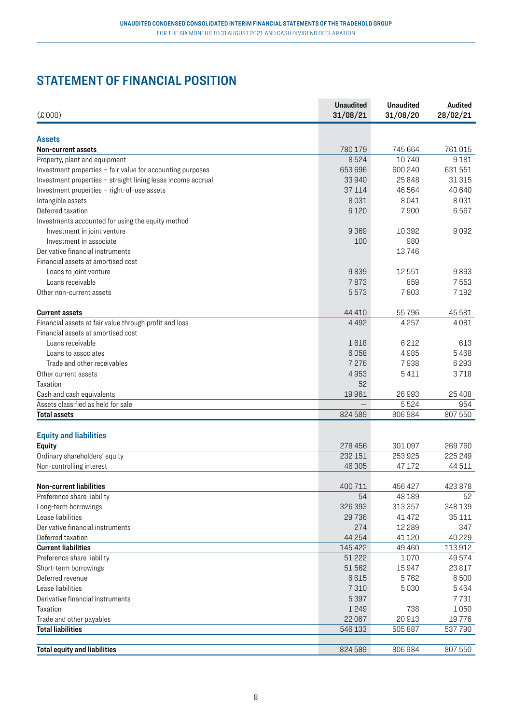## **STATEMENT OF FINANCIAL POSITION**

| (\$000)                                                      | <b>Unaudited</b><br>31/08/21 | <b>Unaudited</b><br>31/08/20 | <b>Audited</b><br>28/02/21 |
|--------------------------------------------------------------|------------------------------|------------------------------|----------------------------|
| <b>Assets</b>                                                |                              |                              |                            |
| Non-current assets                                           | 780 179                      | 745 664                      | 761015                     |
| Property, plant and equipment                                | 8524                         | 10740                        | 9181                       |
|                                                              | 653 696                      | 600 240                      | 631551                     |
| Investment properties - fair value for accounting purposes   | 33940                        | 25848                        | 31 31 5                    |
| Investment properties - straight lining lease income accrual |                              | 46 5 64                      |                            |
| Investment properties - right-of-use assets                  | 37114                        | 8041                         | 40 640<br>8031             |
| Intangible assets                                            | 8031                         |                              |                            |
| Deferred taxation                                            | 6120                         | 7900                         | 6567                       |
| Investments accounted for using the equity method            |                              |                              |                            |
| Investment in joint venture                                  | 9369                         | 10 3 9 2                     | 9092                       |
| Investment in associate                                      | 100                          | 980                          |                            |
| Derivative financial instruments                             |                              | 13746                        |                            |
| Financial assets at amortised cost                           |                              |                              |                            |
| Loans to joint venture                                       | 9839                         | 12551                        | 9893                       |
| Loans receivable                                             | 7873                         | 859                          | 7553                       |
| Other non-current assets                                     | 5573                         | 7803                         | 7192                       |
| <b>Current assets</b>                                        | 44 4 10                      | 55796                        | 45 581                     |
| Financial assets at fair value through profit and loss       | 4 4 9 2                      | 4257                         | 4081                       |
| Financial assets at amortised cost                           |                              |                              |                            |
| Loans receivable                                             | 1618                         | 6212                         | 613                        |
| Loans to associates                                          | 6058                         | 4985                         | 5468                       |
| Trade and other receivables                                  | 7 2 7 6                      | 7938                         | 6293                       |
| Other current assets                                         | 4953                         | 5411                         | 3718                       |
| Taxation                                                     | 52                           |                              |                            |
| Cash and cash equivalents                                    | 19961                        | 26993                        | 25 4 08                    |
| Assets classified as held for sale                           |                              | 5524                         | 954                        |
| <b>Total assets</b>                                          | 824589                       | 806984                       | 807 550                    |
|                                                              |                              |                              |                            |
| <b>Equity and liabilities</b>                                |                              |                              |                            |
| <b>Equity</b>                                                | 278 456                      | 301 097                      | 269760                     |
| Ordinary shareholders' equity                                | 232 151                      | 253925                       | 225 249                    |
| Non-controlling interest                                     | 46 30 5                      | 47 172                       | 44 511                     |
| Non-current liabilities                                      | 400711                       | 456 427                      | 423 878                    |
| Preference share liability                                   | 54                           |                              | 52                         |
|                                                              |                              | 48 189                       |                            |
| Long-term borrowings                                         | 326 393                      | 313 357                      | 348 139                    |
| Lease liabilities<br>Derivative financial instruments        | 29736                        | 41 472                       | 35 1 11                    |
|                                                              | 274                          | 12 2 8 9                     | 347                        |
| Deferred taxation                                            | 44 254                       | 41 1 20                      | 40 2 2 9                   |
| <b>Current liabilities</b>                                   | 145 422                      | 49 4 60                      | 113912                     |
| Preference share liability                                   | 51 2 22                      | 1070                         | 49574                      |
| Short-term borrowings                                        | 51 562                       | 15947                        | 23817                      |
| Deferred revenue                                             | 6615                         | 5762                         | 6500                       |
| Lease liabilities                                            | 7310                         | 5030                         | 5464                       |
| Derivative financial instruments                             | 5397                         |                              | 7731                       |
| Taxation                                                     | 1249                         | 738                          | 1050                       |
| Trade and other payables                                     | 22 067                       | 20913                        | 19776                      |
| <b>Total liabilities</b>                                     | 546 133                      | 505 887                      | 537790                     |
|                                                              |                              |                              |                            |
| <b>Total equity and liabilities</b>                          | 824 589                      | 806 984                      | 807 550                    |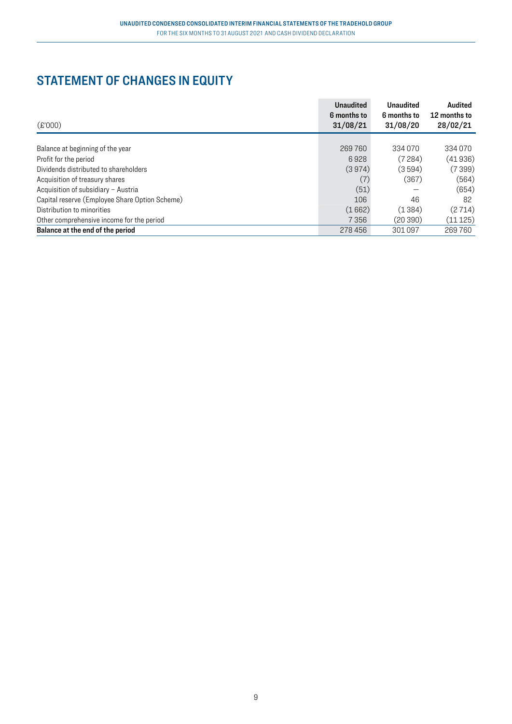## **STATEMENT OF CHANGES IN EQUITY**

| f(000)                                         | <b>Unaudited</b><br>6 months to<br>31/08/21 | <b>Unaudited</b><br>6 months to<br>31/08/20 | <b>Audited</b><br>12 months to<br>28/02/21 |
|------------------------------------------------|---------------------------------------------|---------------------------------------------|--------------------------------------------|
| Balance at beginning of the year               | 269760                                      | 334070                                      | 334 070                                    |
| Profit for the period                          | 6928                                        | (7284)                                      | (41936)                                    |
| Dividends distributed to shareholders          | (3974)                                      | (3594)                                      | (7 399)                                    |
| Acquisition of treasury shares                 | (7)                                         | (367)                                       | (564)                                      |
| Acquisition of subsidiary - Austria            | (51)                                        |                                             | (654)                                      |
| Capital reserve (Employee Share Option Scheme) | 106                                         | 46                                          | 82                                         |
| Distribution to minorities                     | (1662)                                      | (1384)                                      | (2 714)                                    |
| Other comprehensive income for the period      | 7356                                        | (20390)                                     | (11125)                                    |
| Balance at the end of the period               | 278 456                                     | 301 097                                     | 269760                                     |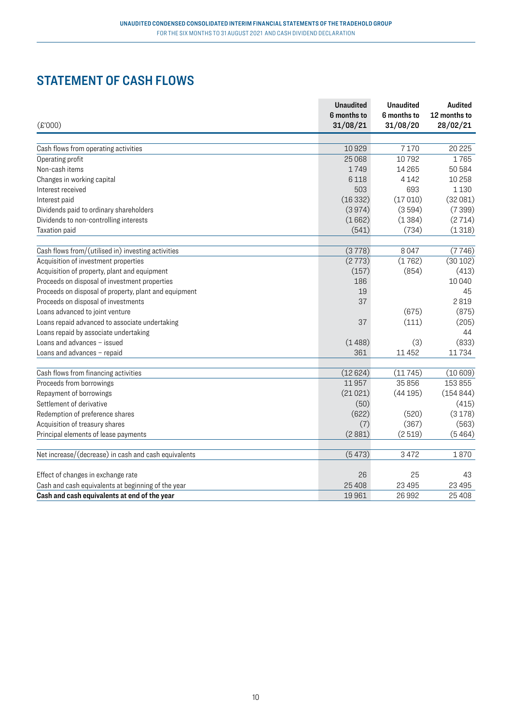## **STATEMENT OF CASH FLOWS**

|                                                       | <b>Unaudited</b>        | <b>Unaudited</b>        | <b>Audited</b>           |
|-------------------------------------------------------|-------------------------|-------------------------|--------------------------|
| f(000)                                                | 6 months to<br>31/08/21 | 6 months to<br>31/08/20 | 12 months to<br>28/02/21 |
|                                                       |                         |                         |                          |
| Cash flows from operating activities                  | 10929                   | 7170                    | 20 225                   |
| Operating profit                                      | 25068                   | 10792                   | 1765                     |
| Non-cash items                                        | 1749                    | 14 265                  | 50 584                   |
| Changes in working capital                            | 6118                    | 4 1 4 2                 | 10258                    |
| Interest received                                     | 503                     | 693                     | 1130                     |
| Interest paid                                         | (16332)                 | (17010)                 | (32081)                  |
| Dividends paid to ordinary shareholders               | (3974)                  | (3594)                  | (7399)                   |
| Dividends to non-controlling interests                | (1662)                  | (1384)                  | (2714)                   |
| Taxation paid                                         | (541)                   | (734)                   | (1318)                   |
| Cash flows from/(utilised in) investing activities    | (3778)                  | 8047                    | (7746)                   |
| Acquisition of investment properties                  | (2773)                  | (1762)                  | (30102)                  |
| Acquisition of property, plant and equipment          | (157)                   | (854)                   | (413)                    |
| Proceeds on disposal of investment properties         | 186                     |                         | 10040                    |
| Proceeds on disposal of property, plant and equipment | 19                      |                         | 45                       |
| Proceeds on disposal of investments                   | 37                      |                         | 2819                     |
| Loans advanced to joint venture                       |                         | (675)                   | (875)                    |
| Loans repaid advanced to associate undertaking        | 37                      | (111)                   | (205)                    |
| Loans repaid by associate undertaking                 |                         |                         | 44                       |
| Loans and advances - issued                           | (1488)                  | (3)                     | (833)                    |
|                                                       |                         |                         |                          |
| Loans and advances - repaid                           | 361                     | 11452                   | 11734                    |
| Cash flows from financing activities                  | (12624)                 | (11745)                 | (10609)                  |
| Proceeds from borrowings                              | 11957                   | 35 856                  | 153 855                  |
| Repayment of borrowings                               | (21021)                 | (44195)                 | (154844)                 |
| Settlement of derivative                              | (50)                    |                         | (415)                    |
| Redemption of preference shares                       | (622)                   | (520)                   | (3178)                   |
| Acquisition of treasury shares                        | (7)                     | (367)                   | (563)                    |
| Principal elements of lease payments                  | (2881)                  | (2519)                  | (5464)                   |
| Net increase/(decrease) in cash and cash equivalents  | (5473)                  | 3472                    | 1870                     |
|                                                       | 26                      | 25                      |                          |
| Effect of changes in exchange rate                    |                         |                         | 43                       |
| Cash and cash equivalents at beginning of the year    | 25 4 08                 | 23 4 95                 | 23 4 95                  |
| Cash and cash equivalents at end of the year          | 19961                   | 26992                   | 25 4 08                  |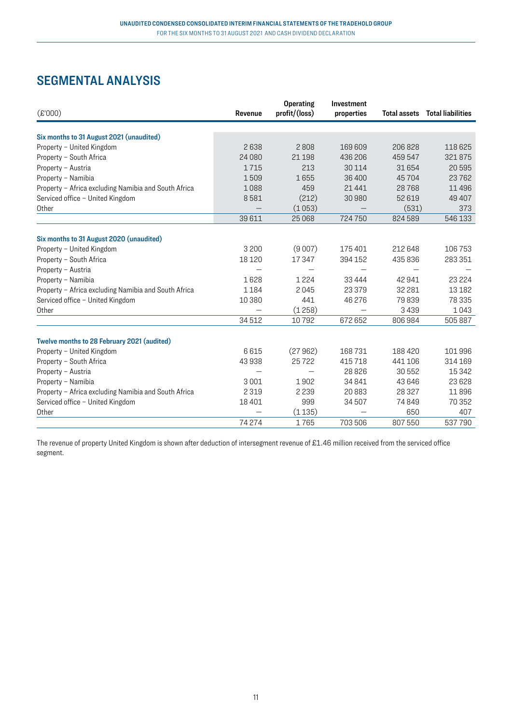## **SEGMENTAL ANALYSIS**

| (\$000)                                              | Revenue | <b>Operating</b><br>profit/(loss) | Investment<br>properties |         | Total assets Total liabilities |
|------------------------------------------------------|---------|-----------------------------------|--------------------------|---------|--------------------------------|
|                                                      |         |                                   |                          |         |                                |
| Six months to 31 August 2021 (unaudited)             |         |                                   |                          |         |                                |
| Property - United Kingdom                            | 2638    | 2808                              | 169 609                  | 206828  | 118 625                        |
| Property - South Africa                              | 24 080  | 21 198                            | 436 206                  | 459 547 | 321875                         |
| Property - Austria                                   | 1715    | 213                               | 30114                    | 31654   | 20595                          |
| Property - Namibia                                   | 1509    | 1655                              | 36 400                   | 45704   | 23762                          |
| Property - Africa excluding Namibia and South Africa | 1088    | 459                               | 21441                    | 28768   | 11 4 9 6                       |
| Serviced office - United Kingdom                     | 8581    | (212)                             | 30980                    | 52 619  | 49 40 7                        |
| Other                                                |         | (1053)                            |                          | (531)   | 373                            |
|                                                      | 39 611  | 25068                             | 724750                   | 824 589 | 546 133                        |
|                                                      |         |                                   |                          |         |                                |
| Six months to 31 August 2020 (unaudited)             |         |                                   |                          |         |                                |
| Property - United Kingdom                            | 3 2 0 0 | (9007)                            | 175401                   | 212648  | 106 753                        |
| Property - South Africa                              | 18 1 20 | 17 347                            | 394 152                  | 435836  | 283 351                        |
| Property - Austria                                   |         |                                   |                          |         |                                |
| Property - Namibia                                   | 1628    | 1224                              | 33 4 4 4                 | 42 941  | 23 2 24                        |
| Property - Africa excluding Namibia and South Africa | 1 1 8 4 | 2045                              | 23 3 7 9                 | 32 281  | 13 182                         |
| Serviced office - United Kingdom                     | 10 380  | 441                               | 46 276                   | 79839   | 78 335                         |
| Other                                                |         | (1258)                            |                          | 3439    | 1043                           |
|                                                      | 34512   | 10792                             | 672 652                  | 806984  | 505887                         |
| Twelve months to 28 February 2021 (audited)          |         |                                   |                          |         |                                |
| Property - United Kingdom                            | 6615    | (27962)                           | 168731                   | 188420  | 101 996                        |
| Property - South Africa                              | 43938   | 25722                             | 415718                   | 441 106 | 314 169                        |
| Property - Austria                                   |         |                                   | 28826                    | 30 552  | 15 3 42                        |
| Property - Namibia                                   | 3001    | 1902                              | 34841                    | 43 646  | 23 6 28                        |
| Property - Africa excluding Namibia and South Africa | 2 3 1 9 | 2 2 3 9                           | 20883                    | 28 3 27 | 11896                          |
| Serviced office - United Kingdom                     | 18 401  | 999                               | 34507                    | 74849   | 70 352                         |
| Other                                                |         | (1135)                            |                          | 650     | 407                            |
|                                                      | 74274   | 1765                              | 703 506                  | 807 550 | 537790                         |

The revenue of property United Kingdom is shown after deduction of intersegment revenue of £1.46 million received from the serviced office segment.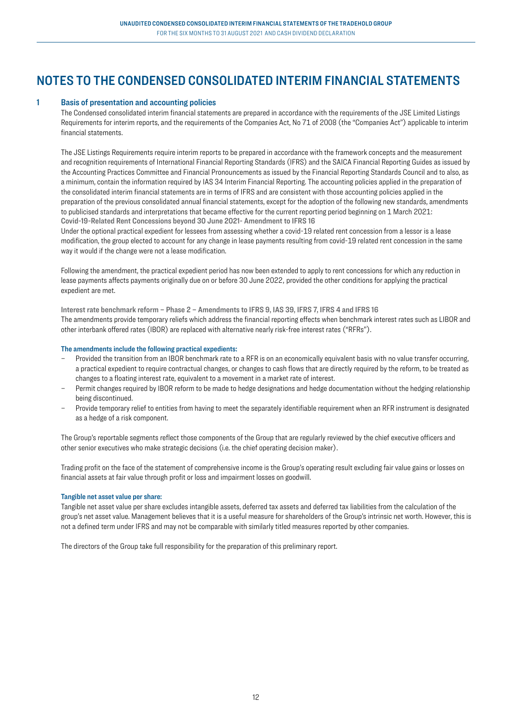## **NOTES TO THE CONDENSED CONSOLIDATED INTERIM FINANCIAL STATEMENTS**

#### **1 Basis of presentation and accounting policies**

 The Condensed consolidated interim financial statements are prepared in accordance with the requirements of the JSE Limited Listings Requirements for interim reports, and the requirements of the Companies Act, No 71 of 2008 (the "Companies Act") applicable to interim financial statements.

 The JSE Listings Requirements require interim reports to be prepared in accordance with the framework concepts and the measurement and recognition requirements of International Financial Reporting Standards (IFRS) and the SAICA Financial Reporting Guides as issued by the Accounting Practices Committee and Financial Pronouncements as issued by the Financial Reporting Standards Council and to also, as a minimum, contain the information required by IAS 34 Interim Financial Reporting. The accounting policies applied in the preparation of the consolidated interim financial statements are in terms of IFRS and are consistent with those accounting policies applied in the preparation of the previous consolidated annual financial statements, except for the adoption of the following new standards, amendments to publicised standards and interpretations that became effective for the current reporting period beginning on 1 March 2021: **Covid-19-Related Rent Concessions beyond 30 June 2021- Amendment to IFRS 16**

 Under the optional practical expedient for lessees from assessing whether a covid-19 related rent concession from a lessor is a lease modification, the group elected to account for any change in lease payments resulting from covid-19 related rent concession in the same way it would if the change were not a lease modification.

 Following the amendment, the practical expedient period has now been extended to apply to rent concessions for which any reduction in lease payments affects payments originally due on or before 30 June 2022, provided the other conditions for applying the practical expedient are met.

**Interest rate benchmark reform – Phase 2 – Amendments to IFRS 9, IAS 39, IFRS 7, IFRS 4 and IFRS 16** The amendments provide temporary reliefs which address the financial reporting effects when benchmark interest rates such as LIBOR and other interbank offered rates (IBOR) are replaced with alternative nearly risk-free interest rates ("RFRs").

#### **The amendments include the following practical expedients:**

- Provided the transition from an IBOR benchmark rate to a RFR is on an economically equivalent basis with no value transfer occurring, a practical expedient to require contractual changes, or changes to cash flows that are directly required by the reform, to be treated as changes to a floating interest rate, equivalent to a movement in a market rate of interest.
- Permit changes required by IBOR reform to be made to hedge designations and hedge documentation without the hedging relationship being discontinued.
- Provide temporary relief to entities from having to meet the separately identifiable requirement when an RFR instrument is designated as a hedge of a risk component.

 The Group's reportable segments reflect those components of the Group that are regularly reviewed by the chief executive officers and other senior executives who make strategic decisions (i.e. the chief operating decision maker).

 Trading profit on the face of the statement of comprehensive income is the Group's operating result excluding fair value gains or losses on financial assets at fair value through profit or loss and impairment losses on goodwill.

#### **Tangible net asset value per share:**

 Tangible net asset value per share excludes intangible assets, deferred tax assets and deferred tax liabilities from the calculation of the group's net asset value. Management believes that it is a useful measure for shareholders of the Group's intrinsic net worth. However, this is not a defined term under IFRS and may not be comparable with similarly titled measures reported by other companies.

The directors of the Group take full responsibility for the preparation of this preliminary report.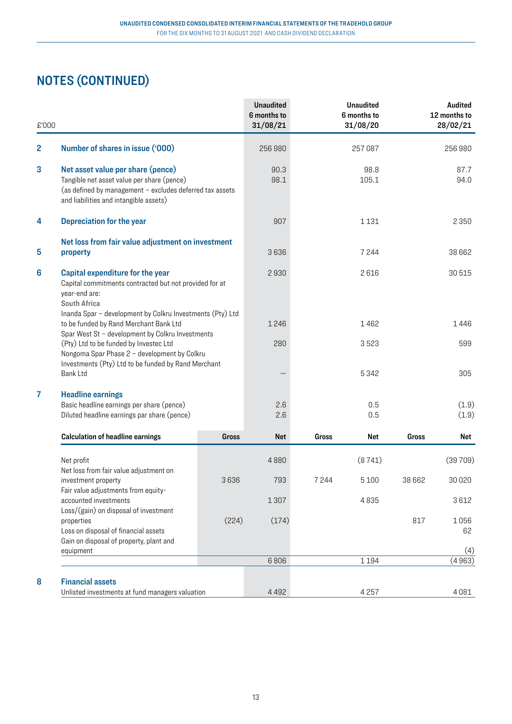| £'000          |                                                                                                                                                                                       |       | <b>Unaudited</b><br>6 months to<br>31/08/21 |       | <b>Unaudited</b><br>6 months to<br>31/08/20 |        | <b>Audited</b><br>12 months to<br>28/02/21 |
|----------------|---------------------------------------------------------------------------------------------------------------------------------------------------------------------------------------|-------|---------------------------------------------|-------|---------------------------------------------|--------|--------------------------------------------|
| $\overline{2}$ | Number of shares in issue ('000)                                                                                                                                                      |       | 256 980                                     |       | 257 087                                     |        | 256980                                     |
| 3              | Net asset value per share (pence)<br>Tangible net asset value per share (pence)<br>(as defined by management - excludes deferred tax assets<br>and liabilities and intangible assets) |       | 90.3<br>98.1                                |       | 98.8<br>105.1                               |        | 87.7<br>94.0                               |
| 4              | Depreciation for the year                                                                                                                                                             |       | 907                                         |       | 1131                                        |        | 2 3 5 0                                    |
| 5              | Net loss from fair value adjustment on investment<br>property                                                                                                                         |       | 3636                                        |       | 7244                                        |        | 38 662                                     |
| 6              | Capital expenditure for the year<br>Capital commitments contracted but not provided for at<br>year-end are:<br><b>South Africa</b>                                                    |       | 2930                                        |       | 2616                                        |        | 30515                                      |
|                | Inanda Spar - development by Colkru Investments (Pty) Ltd<br>to be funded by Rand Merchant Bank Ltd                                                                                   |       | 1246                                        |       | 1462                                        |        | 1446                                       |
|                | Spar West St - development by Colkru Investments<br>(Pty) Ltd to be funded by Investec Ltd<br>Nongoma Spar Phase 2 - development by Colkru                                            |       | 280                                         |       | 3523                                        |        | 599                                        |
|                | Investments (Pty) Ltd to be funded by Rand Merchant<br><b>Bank Ltd</b>                                                                                                                |       |                                             |       | 5342                                        |        | 305                                        |
| $\overline{7}$ | <b>Headline earnings</b><br>Basic headline earnings per share (pence)<br>Diluted headline earnings par share (pence)                                                                  |       | 2.6<br>2.6                                  |       | 0.5<br>0.5                                  |        | (1.9)<br>(1.9)                             |
|                | <b>Calculation of headline earnings</b>                                                                                                                                               | Gross | <b>Net</b>                                  | Gross | Net                                         | Gross  | Net                                        |
|                | Net profit                                                                                                                                                                            |       | 4880                                        |       | (8741)                                      |        | (39709)                                    |
|                | Net loss from fair value adjustment on<br>investment property<br>Fair value adjustments from equity-                                                                                  | 3636  | 793                                         | 7244  | 5 1 0 0                                     | 38 662 | 30 0 20                                    |
|                | accounted investments<br>Loss/(gain) on disposal of investment                                                                                                                        |       | 1307                                        |       | 4835                                        |        | 3612                                       |
|                | properties<br>Loss on disposal of financial assets<br>Gain on disposal of property, plant and                                                                                         | (224) | (174)                                       |       |                                             | 817    | 1056<br>62                                 |
|                | equipment                                                                                                                                                                             |       | 6806                                        |       | 1 1 9 4                                     |        | (4)<br>(4963)                              |
|                |                                                                                                                                                                                       |       |                                             |       |                                             |        |                                            |
| 8              | <b>Financial assets</b><br>Unlisted investments at fund managers valuation                                                                                                            |       | 4 4 9 2                                     |       | 4257                                        |        | 4081                                       |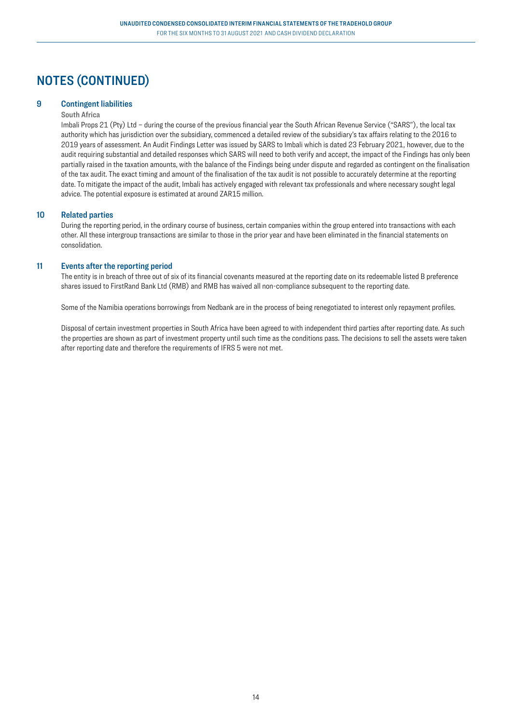#### **9 Contingent liabilities**

#### **South Africa**

Imbali Props 21 (Pty) Ltd – during the course of the previous financial year the South African Revenue Service ("SARS"), the local tax authority which has jurisdiction over the subsidiary, commenced a detailed review of the subsidiary's tax affairs relating to the 2016 to 2019 years of assessment. An Audit Findings Letter was issued by SARS to Imbali which is dated 23 February 2021, however, due to the audit requiring substantial and detailed responses which SARS will need to both verify and accept, the impact of the Findings has only been partially raised in the taxation amounts, with the balance of the Findings being under dispute and regarded as contingent on the finalisation of the tax audit. The exact timing and amount of the finalisation of the tax audit is not possible to accurately determine at the reporting date. To mitigate the impact of the audit, Imbali has actively engaged with relevant tax professionals and where necessary sought legal advice. The potential exposure is estimated at around ZAR15 million.

#### **10 Related parties**

During the reporting period, in the ordinary course of business, certain companies within the group entered into transactions with each other. All these intergroup transactions are similar to those in the prior year and have been eliminated in the financial statements on consolidation.

#### **11 Events after the reporting period**

The entity is in breach of three out of six of its financial covenants measured at the reporting date on its redeemable listed B preference shares issued to FirstRand Bank Ltd (RMB) and RMB has waived all non-compliance subsequent to the reporting date.

Some of the Namibia operations borrowings from Nedbank are in the process of being renegotiated to interest only repayment profiles.

Disposal of certain investment properties in South Africa have been agreed to with independent third parties after reporting date. As such the properties are shown as part of investment property until such time as the conditions pass. The decisions to sell the assets were taken after reporting date and therefore the requirements of IFRS 5 were not met.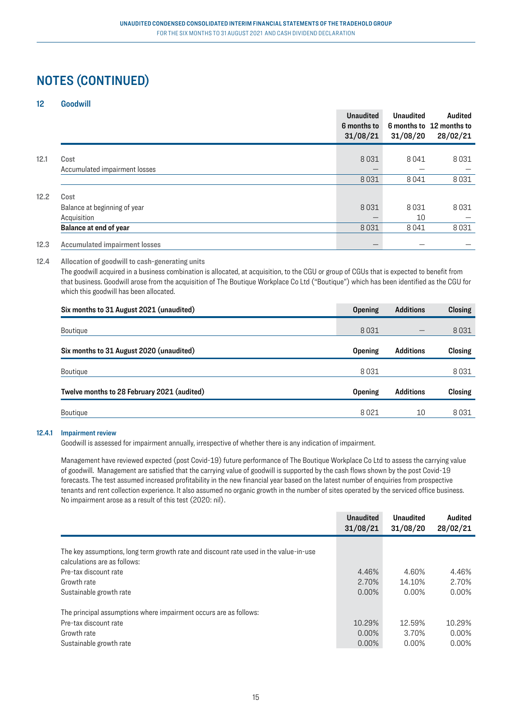#### **12 Goodwill**

|      |                                      | <b>Unaudited</b><br>6 months to<br>31/08/21 | <b>Unaudited</b><br>31/08/20 | <b>Audited</b><br>6 months to 12 months to<br>28/02/21 |
|------|--------------------------------------|---------------------------------------------|------------------------------|--------------------------------------------------------|
| 12.1 | Cost                                 | 8031                                        | 8041                         | 8031                                                   |
|      | Accumulated impairment losses        |                                             |                              |                                                        |
|      |                                      | 8031                                        | 8041                         | 8031                                                   |
| 12.2 | Cost                                 |                                             |                              |                                                        |
|      | Balance at beginning of year         | 8031                                        | 8031                         | 8031                                                   |
|      | Acquisition                          |                                             | 10                           |                                                        |
|      | Balance at end of year               | 8031                                        | 8041                         | 8031                                                   |
| 12.3 | <b>Accumulated impairment losses</b> |                                             |                              |                                                        |

#### **12.4 Allocation of goodwill to cash-generating units**

The goodwill acquired in a business combination is allocated, at acquisition, to the CGU or group of CGUs that is expected to benefit from that business. Goodwill arose from the acquisition of The Boutique Workplace Co Ltd ("Boutique") which has been identified as the CGU for which this goodwill has been allocated.

| Six months to 31 August 2021 (unaudited)    | <b>Opening</b> | <b>Additions</b> | <b>Closing</b> |
|---------------------------------------------|----------------|------------------|----------------|
| <b>Boutique</b>                             | 8031           |                  | 8031           |
| Six months to 31 August 2020 (unaudited)    | <b>Opening</b> | <b>Additions</b> | <b>Closing</b> |
| Boutique                                    | 8031           |                  | 8031           |
| Twelve months to 28 February 2021 (audited) | <b>Opening</b> | <b>Additions</b> | Closing        |
| Boutique                                    | 8021           | 10               | 8031           |

#### **12.4.1 Impairment review**

Goodwill is assessed for impairment annually, irrespective of whether there is any indication of impairment.

Management have reviewed expected (post Covid-19) future performance of The Boutique Workplace Co Ltd to assess the carrying value of goodwill. Management are satisfied that the carrying value of goodwill is supported by the cash flows shown by the post Covid-19 forecasts. The test assumed increased profitability in the new financial year based on the latest number of enquiries from prospective tenants and rent collection experience. It also assumed no organic growth in the number of sites operated by the serviced office business. No impairment arose as a result of this test (2020: nil).

|                                                                                                                                                | <b>Unaudited</b>         | <b>Unaudited</b>            | Audited                        |
|------------------------------------------------------------------------------------------------------------------------------------------------|--------------------------|-----------------------------|--------------------------------|
|                                                                                                                                                | 31/08/21                 | 31/08/20                    | 28/02/21                       |
| The key assumptions, long term growth rate and discount rate used in the value-in-use<br>calculations are as follows:<br>Pre-tax discount rate | 4.46%                    | 4.60%                       | 4.46%                          |
| Growth rate                                                                                                                                    | 2.70%                    | 14.10%                      | 2.70%                          |
| Sustainable growth rate                                                                                                                        | $0.00\%$                 | $0.00\%$                    | $0.00\%$                       |
| The principal assumptions where impairment occurs are as follows:<br>Pre-tax discount rate<br>Growth rate<br>Sustainable growth rate           | 10.29%<br>0.00%<br>0.00% | 12.59%<br>3.70%<br>$0.00\%$ | 10.29%<br>$0.00\%$<br>$0.00\%$ |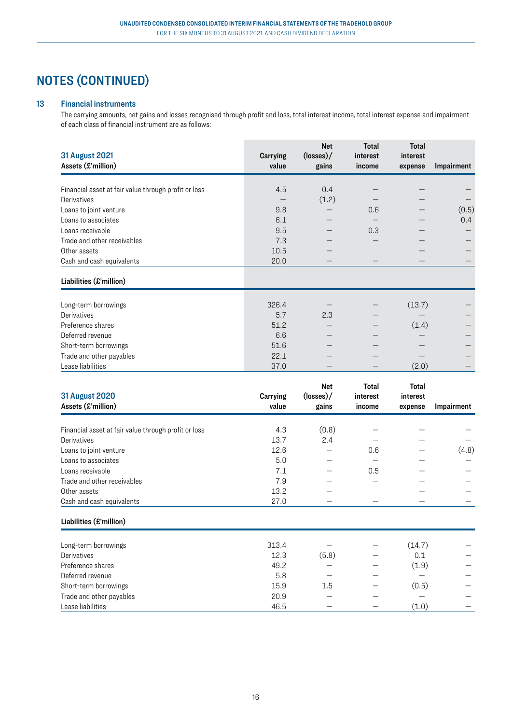### **13 Financial instruments**

The carrying amounts, net gains and losses recognised through profit and loss, total interest income, total interest expense and impairment of each class of financial instrument are as follows:

| <b>31 August 2021</b><br>Assets (£'million)          | <b>Carrying</b><br>value | <b>Net</b><br>$(\text{losses})$ /<br>gains | <b>Total</b><br>interest<br>income | <b>Total</b><br>interest<br>expense | Impairment |
|------------------------------------------------------|--------------------------|--------------------------------------------|------------------------------------|-------------------------------------|------------|
| Financial asset at fair value through profit or loss | 4.5                      | 0.4                                        |                                    |                                     |            |
| Derivatives                                          |                          | (1.2)                                      |                                    |                                     |            |
| Loans to joint venture                               | 9.8                      |                                            | 0.6                                |                                     | (0.5)      |
| Loans to associates                                  | 6.1                      |                                            |                                    |                                     | 0.4        |
| Loans receivable                                     | 9.5                      |                                            | 0.3                                |                                     |            |
| Trade and other receivables                          | 7.3                      |                                            |                                    |                                     |            |
| Other assets                                         | 10.5                     |                                            |                                    |                                     |            |
| Cash and cash equivalents                            | 20.0                     |                                            |                                    |                                     |            |
| Liabilities (£'million)                              |                          |                                            |                                    |                                     |            |
| Long-term borrowings                                 | 326.4                    |                                            |                                    | (13.7)                              |            |
| Derivatives                                          | 5.7                      | 2.3                                        |                                    |                                     |            |
| Preference shares                                    | 51.2                     |                                            |                                    | (1.4)                               |            |
| Deferred revenue                                     | 6.6                      |                                            |                                    |                                     |            |
| Short-term borrowings                                | 51.6                     |                                            |                                    |                                     |            |
| Trade and other payables                             | 22.1                     |                                            |                                    |                                     |            |
| Lease liabilities                                    | 37.0                     |                                            |                                    | (2.0)                               |            |
| <b>31 August 2020</b><br>Assets (£'million)          | <b>Carrying</b><br>value | Net<br>$(\text{losses})$ /                 | Total<br>interest                  | <b>Total</b><br>interest            |            |
|                                                      |                          | gains                                      | income                             | expense                             | Impairment |
| Financial asset at fair value through profit or loss | 4.3                      | (0.8)                                      |                                    |                                     |            |
| Derivatives                                          | 13.7                     | 2.4                                        |                                    |                                     |            |
| Loans to joint venture                               | 12.6                     |                                            | 0.6                                |                                     | (4.8)      |
| Loans to associates                                  | 5.0                      |                                            |                                    |                                     |            |
| Loans receivable                                     | 7.1                      |                                            | 0.5                                |                                     |            |
| Trade and other receivables                          | 7.9                      |                                            |                                    |                                     |            |
| Other assets                                         | 13.2                     |                                            |                                    |                                     |            |
| Cash and cash equivalents                            | 27.0                     |                                            |                                    |                                     |            |
| Liabilities (£'million)                              |                          |                                            |                                    |                                     |            |
| Long-term borrowings                                 | 313.4                    |                                            |                                    | (14.7)                              |            |
| Derivatives                                          | 12.3                     | (5.8)                                      |                                    | 0.1                                 |            |
| Preference shares                                    | 49.2                     |                                            |                                    | (1.9)                               |            |
| Deferred revenue                                     | 5.8                      |                                            |                                    | $\overline{\phantom{0}}$            |            |
| Short-term borrowings                                | 15.9                     | 1.5                                        |                                    | (0.5)                               |            |
| Trade and other payables                             | 20.9                     |                                            |                                    |                                     |            |
| Lease liabilities                                    | 46.5                     |                                            |                                    | (1.0)                               |            |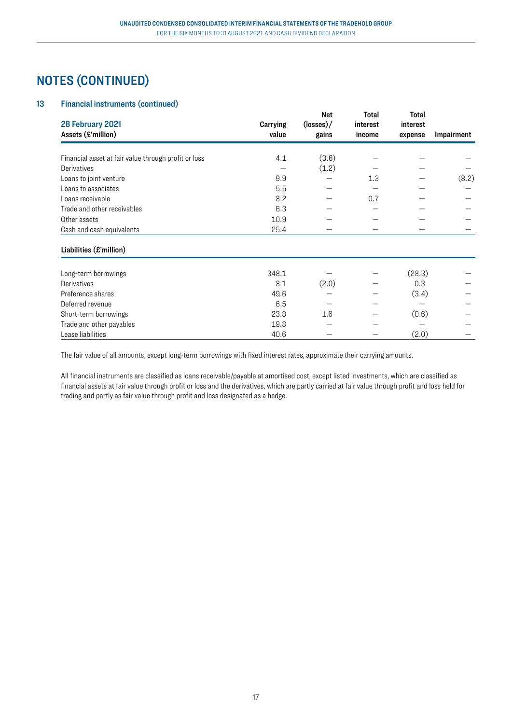### **13 Financial instruments (continued)**

| 28 February 2021<br>Assets (£'million)               | Carrying<br>value | <b>Net</b><br>$(\text{losses})$ /<br>gains | <b>Total</b><br>interest<br>income | <b>Total</b><br>interest<br>expense | Impairment |
|------------------------------------------------------|-------------------|--------------------------------------------|------------------------------------|-------------------------------------|------------|
|                                                      |                   |                                            |                                    |                                     |            |
| Financial asset at fair value through profit or loss | 4.1               | (3.6)                                      |                                    |                                     |            |
| Derivatives                                          |                   | (1.2)                                      |                                    |                                     |            |
| Loans to joint venture                               | 9.9               |                                            | 1.3                                |                                     | (8.2)      |
| Loans to associates                                  | 5.5               |                                            |                                    |                                     |            |
| Loans receivable                                     | 8.2               |                                            | 0.7                                |                                     |            |
| Trade and other receivables                          | 6.3               |                                            |                                    |                                     |            |
| Other assets                                         | 10.9              |                                            |                                    |                                     |            |
| Cash and cash equivalents                            | 25.4              |                                            |                                    |                                     |            |
| Liabilities (£'million)                              |                   |                                            |                                    |                                     |            |
| Long-term borrowings                                 | 348.1             |                                            |                                    | (28.3)                              |            |
| Derivatives                                          | 8.1               | (2.0)                                      |                                    | 0.3                                 |            |
| Preference shares                                    | 49.6              |                                            |                                    | (3.4)                               |            |
| Deferred revenue                                     | 6.5               |                                            |                                    |                                     |            |
| Short-term borrowings                                | 23.8              | 1.6                                        |                                    | (0.6)                               |            |
| Trade and other payables                             | 19.8              |                                            |                                    |                                     |            |
| Lease liabilities                                    | 40.6              |                                            |                                    | (2.0)                               |            |

The fair value of all amounts, except long-term borrowings with fixed interest rates, approximate their carrying amounts.

All financial instruments are classified as loans receivable/payable at amortised cost, except listed investments, which are classified as financial assets at fair value through profit or loss and the derivatives, which are partly carried at fair value through profit and loss held for trading and partly as fair value through profit and loss designated as a hedge.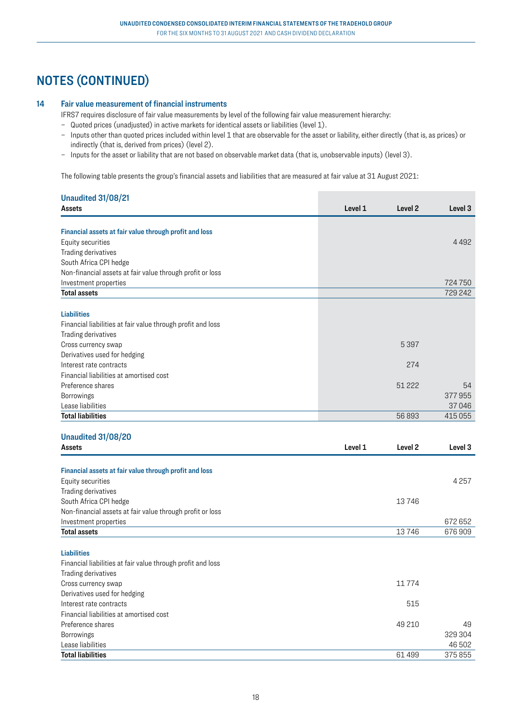#### **14 Fair value measurement of financial instruments**

IFRS7 requires disclosure of fair value measurements by level of the following fair value measurement hierarchy:

- Quoted prices (unadjusted) in active markets for identical assets or liabilities (level 1).
- Inputs other than quoted prices included within level 1 that are observable for the asset or liability, either directly (that is, as prices) or indirectly (that is, derived from prices) (level 2).
- Inputs for the asset or liability that are not based on observable market data (that is, unobservable inputs) (level 3).

The following table presents the group's financial assets and liabilities that are measured at fair value at 31 August 2021:

| Unaudited 31/08/21<br>Assets                                | Level 1 | Level <sub>2</sub> | Level <sub>3</sub> |
|-------------------------------------------------------------|---------|--------------------|--------------------|
|                                                             |         |                    |                    |
| Financial assets at fair value through profit and loss      |         |                    |                    |
| Equity securities                                           |         |                    | 4492               |
| Trading derivatives                                         |         |                    |                    |
| South Africa CPI hedge                                      |         |                    |                    |
| Non-financial assets at fair value through profit or loss   |         |                    |                    |
| Investment properties                                       |         |                    | 724 750            |
| <b>Total assets</b>                                         |         |                    | 729 242            |
|                                                             |         |                    |                    |
| <b>Liabilities</b>                                          |         |                    |                    |
| Financial liabilities at fair value through profit and loss |         |                    |                    |
| Trading derivatives                                         |         |                    |                    |
| Cross currency swap                                         |         | 5397               |                    |
| Derivatives used for hedging                                |         |                    |                    |
| Interest rate contracts                                     |         | 274                |                    |
| Financial liabilities at amortised cost                     |         |                    |                    |
| Preference shares                                           |         | 51 2 2 2           | 54                 |
| Borrowings                                                  |         |                    | 377955             |
| Lease liabilities                                           |         |                    | 37046              |
| <b>Total liabilities</b>                                    |         | 56893              | 415 055            |
|                                                             |         |                    |                    |
| Unaudited 31/08/20                                          |         |                    |                    |
| <b>Assets</b>                                               | Level 1 | Level <sub>2</sub> | Level 3            |
|                                                             |         |                    |                    |
| Financial assets at fair value through profit and loss      |         |                    | 4 2 5 7            |
| Equity securities                                           |         |                    |                    |
| Trading derivatives                                         |         |                    |                    |
| South Africa CPI hedge                                      |         | 13746              |                    |
| Non-financial assets at fair value through profit or loss   |         |                    |                    |
| Investment properties                                       |         |                    | 672 652            |
| <b>Total assets</b>                                         |         | 13746              | 676909             |
| <b>Liabilities</b>                                          |         |                    |                    |
| Financial liabilities at fair value through profit and loss |         |                    |                    |
| Trading derivatives                                         |         |                    |                    |
| Cross currency swap                                         |         | 11774              |                    |
| Derivatives used for hedging                                |         |                    |                    |
| Interest rate contracts                                     |         | 515                |                    |
| Financial liabilities at amortised cost                     |         |                    |                    |
| Preference shares                                           |         | 49 210             | 49                 |
| Borrowings                                                  |         |                    | 329 304            |
| Lease liabilities                                           |         |                    | 46 502             |
| <b>Total liabilities</b>                                    |         | 61499              | 375 855            |
|                                                             |         |                    |                    |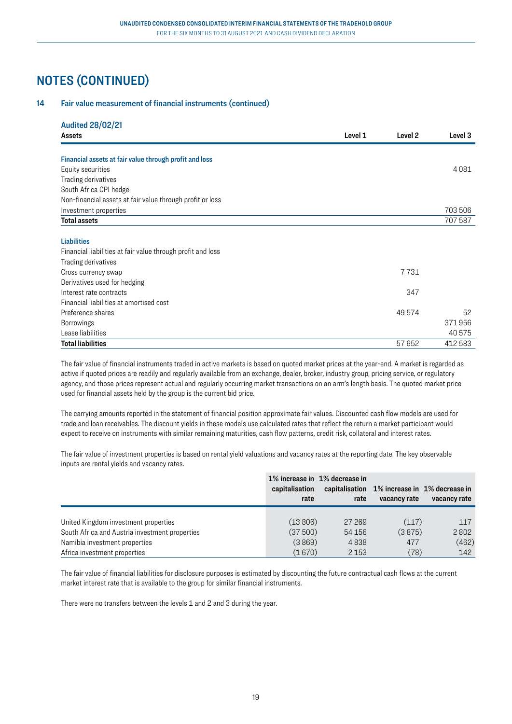### **14 Fair value measurement of financial instruments (continued)**

| <b>Audited 28/02/21</b>                                     |         |         |         |
|-------------------------------------------------------------|---------|---------|---------|
| <b>Assets</b>                                               | Level 1 | Level 2 | Level 3 |
|                                                             |         |         |         |
| Financial assets at fair value through profit and loss      |         |         |         |
| Equity securities                                           |         |         | 4081    |
| Trading derivatives                                         |         |         |         |
| South Africa CPI hedge                                      |         |         |         |
| Non-financial assets at fair value through profit or loss   |         |         |         |
| Investment properties                                       |         |         | 703 506 |
| <b>Total assets</b>                                         |         |         | 707 587 |
|                                                             |         |         |         |
| <b>Liabilities</b>                                          |         |         |         |
| Financial liabilities at fair value through profit and loss |         |         |         |
| Trading derivatives                                         |         |         |         |
| Cross currency swap                                         |         | 7731    |         |
| Derivatives used for hedging                                |         |         |         |
| Interest rate contracts                                     |         | 347     |         |
| Financial liabilities at amortised cost                     |         |         |         |
| Preference shares                                           |         | 49 574  | 52      |
| <b>Borrowings</b>                                           |         |         | 371956  |
| Lease liabilities                                           |         |         | 40 575  |
| <b>Total liabilities</b>                                    |         | 57652   | 412 583 |

The fair value of financial instruments traded in active markets is based on quoted market prices at the year-end. A market is regarded as active if quoted prices are readily and regularly available from an exchange, dealer, broker, industry group, pricing service, or regulatory agency, and those prices represent actual and regularly occurring market transactions on an arm's length basis. The quoted market price used for financial assets held by the group is the current bid price.

The carrying amounts reported in the statement of financial position approximate fair values. Discounted cash flow models are used for trade and loan receivables. The discount yields in these models use calculated rates that reflect the return a market participant would expect to receive on instruments with similar remaining maturities, cash flow patterns, credit risk, collateral and interest rates.

The fair value of investment properties is based on rental yield valuations and vacancy rates at the reporting date. The key observable inputs are rental yields and vacancy rates.

|                                                | 1% increase in 1% decrease in<br>capitalisation<br>rate | rate    | capitalisation 1% increase in 1% decrease in<br>vacancy rate | vacancy rate |
|------------------------------------------------|---------------------------------------------------------|---------|--------------------------------------------------------------|--------------|
| United Kingdom investment properties           | (13806)                                                 | 27 269  | (117)                                                        | 117          |
| South Africa and Austria investment properties | (37500)                                                 | 54 156  | (3875)                                                       | 2802         |
| Namibia investment properties                  | (3869)                                                  | 4838    | 477                                                          | (462)        |
| Africa investment properties                   | (1670)                                                  | 2 1 5 3 | (78)                                                         | 142          |

The fair value of financial liabilities for disclosure purposes is estimated by discounting the future contractual cash flows at the current market interest rate that is available to the group for similar financial instruments.

There were no transfers between the levels 1 and 2 and 3 during the year.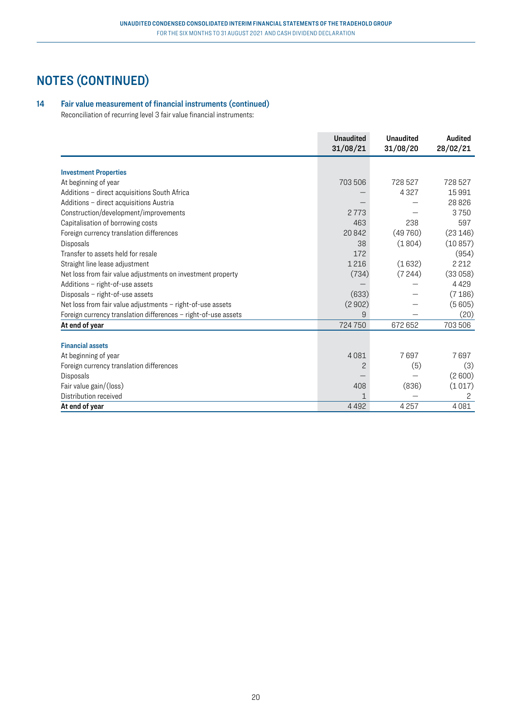### **14 Fair value measurement of financial instruments (continued)**

Reconciliation of recurring level 3 fair value financial instruments:

|                                                                | <b>Unaudited</b><br>31/08/21 | <b>Unaudited</b><br>31/08/20 | <b>Audited</b><br>28/02/21 |
|----------------------------------------------------------------|------------------------------|------------------------------|----------------------------|
|                                                                |                              |                              |                            |
| <b>Investment Properties</b>                                   |                              |                              |                            |
| At beginning of year                                           | 703 506                      | 728527                       | 728527                     |
| Additions - direct acquisitions South Africa                   |                              | 4327                         | 15991                      |
| Additions - direct acquisitions Austria                        |                              |                              | 28826                      |
| Construction/development/improvements                          | 2773                         |                              | 3750                       |
| Capitalisation of borrowing costs                              | 463                          | 238                          | 597                        |
| Foreign currency translation differences                       | 20842                        | (49760)                      | (23146)                    |
| <b>Disposals</b>                                               | 38                           | (1804)                       | (10857)                    |
| Transfer to assets held for resale                             | 172                          |                              | (954)                      |
| Straight line lease adjustment                                 | 1216                         | (1632)                       | 2 2 1 2                    |
| Net loss from fair value adjustments on investment property    | (734)                        | (7244)                       | (33058)                    |
| Additions - right-of-use assets                                |                              |                              | 4429                       |
| Disposals - right-of-use assets                                | (633)                        |                              | (7186)                     |
| Net loss from fair value adjustments - right-of-use assets     | (2902)                       |                              | (5605)                     |
| Foreign currency translation differences - right-of-use assets | 9                            |                              | (20)                       |
| At end of year                                                 | 724750                       | 672652                       | 703 506                    |
|                                                                |                              |                              |                            |
| <b>Financial assets</b>                                        |                              |                              |                            |
| At beginning of year                                           | 4081                         | 7697                         | 7697                       |
| Foreign currency translation differences                       | $\mathbf{2}$                 | (5)                          | (3)                        |
| Disposals                                                      |                              |                              | (2600)                     |
| Fair value gain/(loss)                                         | 408                          | (836)                        | (1017)                     |
| Distribution received                                          |                              |                              | 2                          |
| At end of year                                                 | 4492                         | 4257                         | 4081                       |